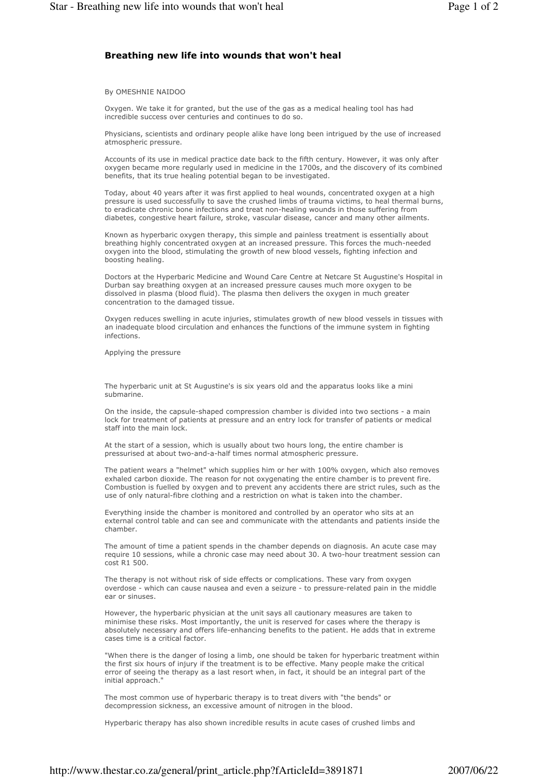## Breathing new life into wounds that won't heal

By OMESHNIE NAIDOO

Oxygen. We take it for granted, but the use of the gas as a medical healing tool has had incredible success over centuries and continues to do so.

Physicians, scientists and ordinary people alike have long been intrigued by the use of increased atmospheric pressure.

Accounts of its use in medical practice date back to the fifth century. However, it was only after oxygen became more regularly used in medicine in the 1700s, and the discovery of its combined benefits, that its true healing potential began to be investigated.

Today, about 40 years after it was first applied to heal wounds, concentrated oxygen at a high pressure is used successfully to save the crushed limbs of trauma victims, to heal thermal burns, to eradicate chronic bone infections and treat non-healing wounds in those suffering from diabetes, congestive heart failure, stroke, vascular disease, cancer and many other ailments.

Known as hyperbaric oxygen therapy, this simple and painless treatment is essentially about breathing highly concentrated oxygen at an increased pressure. This forces the much-needed oxygen into the blood, stimulating the growth of new blood vessels, fighting infection and boosting healing.

Doctors at the Hyperbaric Medicine and Wound Care Centre at Netcare St Augustine's Hospital in Durban say breathing oxygen at an increased pressure causes much more oxygen to be dissolved in plasma (blood fluid). The plasma then delivers the oxygen in much greater concentration to the damaged tissue.

Oxygen reduces swelling in acute injuries, stimulates growth of new blood vessels in tissues with an inadequate blood circulation and enhances the functions of the immune system in fighting infections.

Applying the pressure

The hyperbaric unit at St Augustine's is six years old and the apparatus looks like a mini submarine.

On the inside, the capsule-shaped compression chamber is divided into two sections - a main lock for treatment of patients at pressure and an entry lock for transfer of patients or medical staff into the main lock.

At the start of a session, which is usually about two hours long, the entire chamber is pressurised at about two-and-a-half times normal atmospheric pressure.

The patient wears a "helmet" which supplies him or her with 100% oxygen, which also removes exhaled carbon dioxide. The reason for not oxygenating the entire chamber is to prevent fire. Combustion is fuelled by oxygen and to prevent any accidents there are strict rules, such as the use of only natural-fibre clothing and a restriction on what is taken into the chamber.

Everything inside the chamber is monitored and controlled by an operator who sits at an external control table and can see and communicate with the attendants and patients inside the chamber.

The amount of time a patient spends in the chamber depends on diagnosis. An acute case may require 10 sessions, while a chronic case may need about 30. A two-hour treatment session can cost R1 500.

The therapy is not without risk of side effects or complications. These vary from oxygen overdose - which can cause nausea and even a seizure - to pressure-related pain in the middle ear or sinuses.

However, the hyperbaric physician at the unit says all cautionary measures are taken to minimise these risks. Most importantly, the unit is reserved for cases where the therapy is absolutely necessary and offers life-enhancing benefits to the patient. He adds that in extreme cases time is a critical factor.

"When there is the danger of losing a limb, one should be taken for hyperbaric treatment within the first six hours of injury if the treatment is to be effective. Many people make the critical error of seeing the therapy as a last resort when, in fact, it should be an integral part of the initial approach."

The most common use of hyperbaric therapy is to treat divers with "the bends" or decompression sickness, an excessive amount of nitrogen in the blood.

Hyperbaric therapy has also shown incredible results in acute cases of crushed limbs and